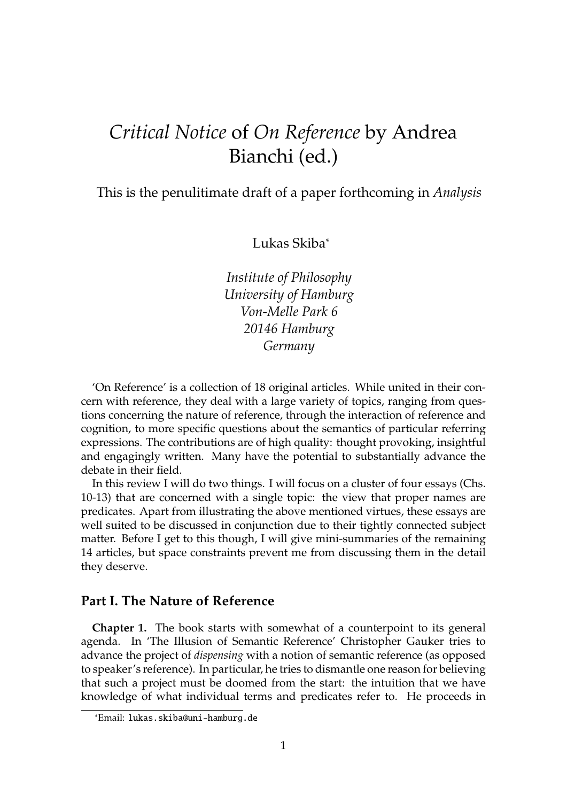# <span id="page-0-0"></span>*Critical Notice* of *On Reference* by Andrea Bianchi (ed.)

This is the penulitimate draft of a paper forthcoming in *Analysis*

Lukas Skiba<sup>∗</sup>

*Institute of Philosophy University of Hamburg Von-Melle Park 6 20146 Hamburg Germany*

'On Reference' is a collection of 18 original articles. While united in their concern with reference, they deal with a large variety of topics, ranging from questions concerning the nature of reference, through the interaction of reference and cognition, to more specific questions about the semantics of particular referring expressions. The contributions are of high quality: thought provoking, insightful and engagingly written. Many have the potential to substantially advance the debate in their field.

In this review I will do two things. I will focus on a cluster of four essays (Chs. 10-13) that are concerned with a single topic: the view that proper names are predicates. Apart from illustrating the above mentioned virtues, these essays are well suited to be discussed in conjunction due to their tightly connected subject matter. Before I get to this though, I will give mini-summaries of the remaining 14 articles, but space constraints prevent me from discussing them in the detail they deserve.

## **Part I. The Nature of Reference**

**Chapter 1.** The book starts with somewhat of a counterpoint to its general agenda. In 'The Illusion of Semantic Reference' Christopher Gauker tries to advance the project of *dispensing* with a notion of semantic reference (as opposed to speaker's reference). In particular, he tries to dismantle one reason for believing that such a project must be doomed from the start: the intuition that we have knowledge of what individual terms and predicates refer to. He proceeds in

<sup>∗</sup>Email: lukas.skiba@uni-hamburg.de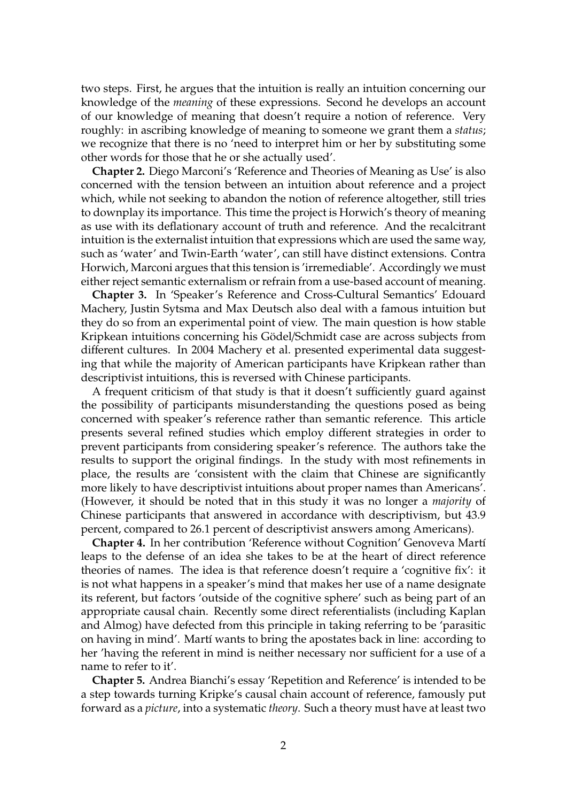two steps. First, he argues that the intuition is really an intuition concerning our knowledge of the *meaning* of these expressions. Second he develops an account of our knowledge of meaning that doesn't require a notion of reference. Very roughly: in ascribing knowledge of meaning to someone we grant them a *status*; we recognize that there is no 'need to interpret him or her by substituting some other words for those that he or she actually used'.

**Chapter 2.** Diego Marconi's 'Reference and Theories of Meaning as Use' is also concerned with the tension between an intuition about reference and a project which, while not seeking to abandon the notion of reference altogether, still tries to downplay its importance. This time the project is Horwich's theory of meaning as use with its deflationary account of truth and reference. And the recalcitrant intuition is the externalist intuition that expressions which are used the same way, such as 'water' and Twin-Earth 'water', can still have distinct extensions. Contra Horwich, Marconi argues that this tension is 'irremediable'. Accordingly we must either reject semantic externalism or refrain from a use-based account of meaning.

**Chapter 3.** In 'Speaker's Reference and Cross-Cultural Semantics' Edouard Machery, Justin Sytsma and Max Deutsch also deal with a famous intuition but they do so from an experimental point of view. The main question is how stable Kripkean intuitions concerning his Gödel/Schmidt case are across subjects from different cultures. In 2004 Machery et al. presented experimental data suggesting that while the majority of American participants have Kripkean rather than descriptivist intuitions, this is reversed with Chinese participants.

A frequent criticism of that study is that it doesn't sufficiently guard against the possibility of participants misunderstanding the questions posed as being concerned with speaker's reference rather than semantic reference. This article presents several refined studies which employ different strategies in order to prevent participants from considering speaker's reference. The authors take the results to support the original findings. In the study with most refinements in place, the results are 'consistent with the claim that Chinese are significantly more likely to have descriptivist intuitions about proper names than Americans'. (However, it should be noted that in this study it was no longer a *majority* of Chinese participants that answered in accordance with descriptivism, but 43.9 percent, compared to 26.1 percent of descriptivist answers among Americans).

**Chapter 4.** In her contribution 'Reference without Cognition' Genoveva Martí leaps to the defense of an idea she takes to be at the heart of direct reference theories of names. The idea is that reference doesn't require a 'cognitive fix': it is not what happens in a speaker's mind that makes her use of a name designate its referent, but factors 'outside of the cognitive sphere' such as being part of an appropriate causal chain. Recently some direct referentialists (including Kaplan and Almog) have defected from this principle in taking referring to be 'parasitic on having in mind'. Martí wants to bring the apostates back in line: according to her 'having the referent in mind is neither necessary nor sufficient for a use of a name to refer to it'.

**Chapter 5.** Andrea Bianchi's essay 'Repetition and Reference' is intended to be a step towards turning Kripke's causal chain account of reference, famously put forward as a *picture*, into a systematic *theory*. Such a theory must have at least two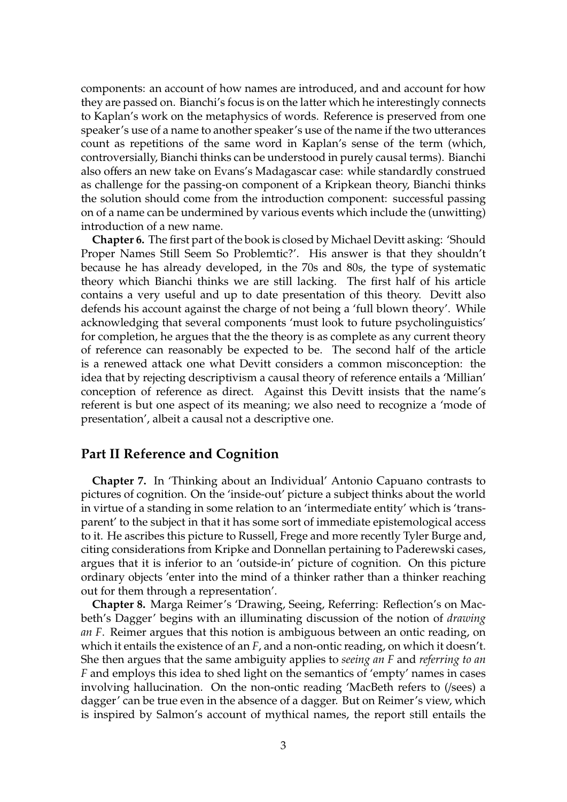components: an account of how names are introduced, and and account for how they are passed on. Bianchi's focus is on the latter which he interestingly connects to Kaplan's work on the metaphysics of words. Reference is preserved from one speaker's use of a name to another speaker's use of the name if the two utterances count as repetitions of the same word in Kaplan's sense of the term (which, controversially, Bianchi thinks can be understood in purely causal terms). Bianchi also offers an new take on Evans's Madagascar case: while standardly construed as challenge for the passing-on component of a Kripkean theory, Bianchi thinks the solution should come from the introduction component: successful passing on of a name can be undermined by various events which include the (unwitting) introduction of a new name.

**Chapter 6.** The first part of the book is closed by Michael Devitt asking: 'Should Proper Names Still Seem So Problemtic?'. His answer is that they shouldn't because he has already developed, in the 70s and 80s, the type of systematic theory which Bianchi thinks we are still lacking. The first half of his article contains a very useful and up to date presentation of this theory. Devitt also defends his account against the charge of not being a 'full blown theory'. While acknowledging that several components 'must look to future psycholinguistics' for completion, he argues that the the theory is as complete as any current theory of reference can reasonably be expected to be. The second half of the article is a renewed attack one what Devitt considers a common misconception: the idea that by rejecting descriptivism a causal theory of reference entails a 'Millian' conception of reference as direct. Against this Devitt insists that the name's referent is but one aspect of its meaning; we also need to recognize a 'mode of presentation', albeit a causal not a descriptive one.

### **Part II Reference and Cognition**

**Chapter 7.** In 'Thinking about an Individual' Antonio Capuano contrasts to pictures of cognition. On the 'inside-out' picture a subject thinks about the world in virtue of a standing in some relation to an 'intermediate entity' which is 'transparent' to the subject in that it has some sort of immediate epistemological access to it. He ascribes this picture to Russell, Frege and more recently Tyler Burge and, citing considerations from Kripke and Donnellan pertaining to Paderewski cases, argues that it is inferior to an 'outside-in' picture of cognition. On this picture ordinary objects 'enter into the mind of a thinker rather than a thinker reaching out for them through a representation'.

**Chapter 8.** Marga Reimer's 'Drawing, Seeing, Referring: Reflection's on Macbeth's Dagger' begins with an illuminating discussion of the notion of *drawing an F*. Reimer argues that this notion is ambiguous between an ontic reading, on which it entails the existence of an *F*, and a non-ontic reading, on which it doesn't. She then argues that the same ambiguity applies to *seeing an F* and *referring to an F* and employs this idea to shed light on the semantics of 'empty' names in cases involving hallucination. On the non-ontic reading 'MacBeth refers to (/sees) a dagger' can be true even in the absence of a dagger. But on Reimer's view, which is inspired by Salmon's account of mythical names, the report still entails the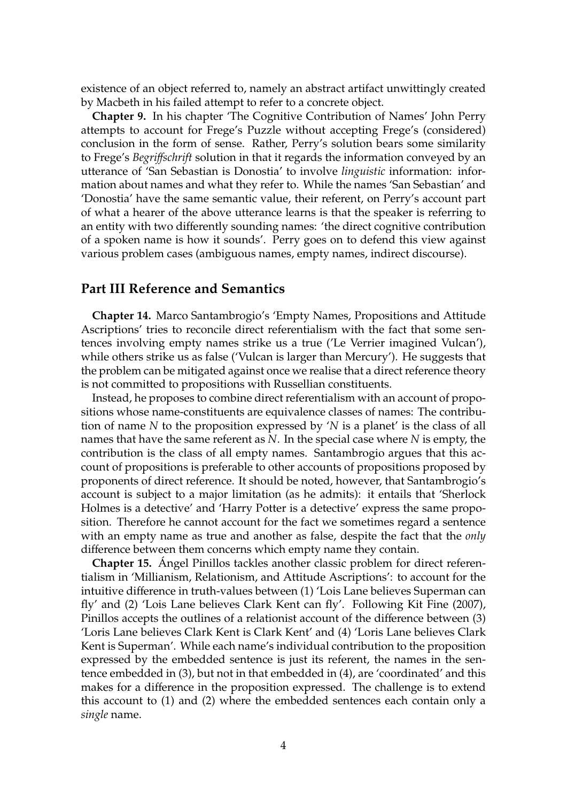existence of an object referred to, namely an abstract artifact unwittingly created by Macbeth in his failed attempt to refer to a concrete object.

**Chapter 9.** In his chapter 'The Cognitive Contribution of Names' John Perry attempts to account for Frege's Puzzle without accepting Frege's (considered) conclusion in the form of sense. Rather, Perry's solution bears some similarity to Frege's *Begri*ff*schrift* solution in that it regards the information conveyed by an utterance of 'San Sebastian is Donostia' to involve *linguistic* information: information about names and what they refer to. While the names 'San Sebastian' and 'Donostia' have the same semantic value, their referent, on Perry's account part of what a hearer of the above utterance learns is that the speaker is referring to an entity with two differently sounding names: 'the direct cognitive contribution of a spoken name is how it sounds'. Perry goes on to defend this view against various problem cases (ambiguous names, empty names, indirect discourse).

#### **Part III Reference and Semantics**

**Chapter 14.** Marco Santambrogio's 'Empty Names, Propositions and Attitude Ascriptions' tries to reconcile direct referentialism with the fact that some sentences involving empty names strike us a true ('Le Verrier imagined Vulcan'), while others strike us as false ('Vulcan is larger than Mercury'). He suggests that the problem can be mitigated against once we realise that a direct reference theory is not committed to propositions with Russellian constituents.

Instead, he proposes to combine direct referentialism with an account of propositions whose name-constituents are equivalence classes of names: The contribution of name *N* to the proposition expressed by '*N* is a planet' is the class of all names that have the same referent as *N*. In the special case where *N* is empty, the contribution is the class of all empty names. Santambrogio argues that this account of propositions is preferable to other accounts of propositions proposed by proponents of direct reference. It should be noted, however, that Santambrogio's account is subject to a major limitation (as he admits): it entails that 'Sherlock Holmes is a detective' and 'Harry Potter is a detective' express the same proposition. Therefore he cannot account for the fact we sometimes regard a sentence with an empty name as true and another as false, despite the fact that the *only* difference between them concerns which empty name they contain.

**Chapter 15.** Ángel Pinillos tackles another classic problem for direct referentialism in 'Millianism, Relationism, and Attitude Ascriptions': to account for the intuitive difference in truth-values between (1) 'Lois Lane believes Superman can fly' and (2) 'Lois Lane believes Clark Kent can fly'. Following Kit Fine (2007), Pinillos accepts the outlines of a relationist account of the difference between (3) 'Loris Lane believes Clark Kent is Clark Kent' and (4) 'Loris Lane believes Clark Kent is Superman'. While each name's individual contribution to the proposition expressed by the embedded sentence is just its referent, the names in the sentence embedded in (3), but not in that embedded in (4), are 'coordinated' and this makes for a difference in the proposition expressed. The challenge is to extend this account to (1) and (2) where the embedded sentences each contain only a *single* name.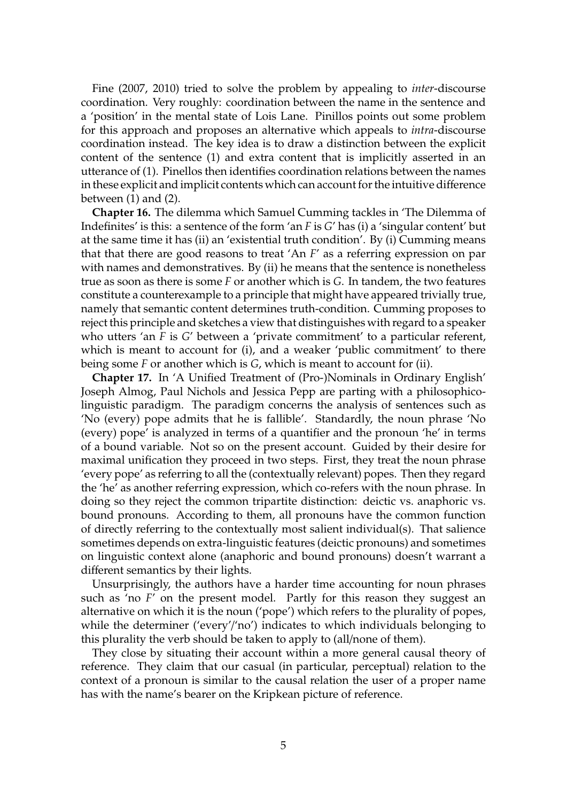Fine (2007, 2010) tried to solve the problem by appealing to *inter*-discourse coordination. Very roughly: coordination between the name in the sentence and a 'position' in the mental state of Lois Lane. Pinillos points out some problem for this approach and proposes an alternative which appeals to *intra*-discourse coordination instead. The key idea is to draw a distinction between the explicit content of the sentence (1) and extra content that is implicitly asserted in an utterance of (1). Pinellos then identifies coordination relations between the names in these explicit and implicit contents which can account for the intuitive difference between (1) and (2).

**Chapter 16.** The dilemma which Samuel Cumming tackles in 'The Dilemma of Indefinites' is this: a sentence of the form 'an *F* is *G*' has (i) a 'singular content' but at the same time it has (ii) an 'existential truth condition'. By (i) Cumming means that that there are good reasons to treat 'An *F*' as a referring expression on par with names and demonstratives. By (ii) he means that the sentence is nonetheless true as soon as there is some *F* or another which is *G*. In tandem, the two features constitute a counterexample to a principle that might have appeared trivially true, namely that semantic content determines truth-condition. Cumming proposes to reject this principle and sketches a view that distinguishes with regard to a speaker who utters 'an *F* is *G*' between a 'private commitment' to a particular referent, which is meant to account for (i), and a weaker 'public commitment' to there being some *F* or another which is *G*, which is meant to account for (ii).

**Chapter 17.** In 'A Unified Treatment of (Pro-)Nominals in Ordinary English' Joseph Almog, Paul Nichols and Jessica Pepp are parting with a philosophicolinguistic paradigm. The paradigm concerns the analysis of sentences such as 'No (every) pope admits that he is fallible'. Standardly, the noun phrase 'No (every) pope' is analyzed in terms of a quantifier and the pronoun 'he' in terms of a bound variable. Not so on the present account. Guided by their desire for maximal unification they proceed in two steps. First, they treat the noun phrase 'every pope' as referring to all the (contextually relevant) popes. Then they regard the 'he' as another referring expression, which co-refers with the noun phrase. In doing so they reject the common tripartite distinction: deictic vs. anaphoric vs. bound pronouns. According to them, all pronouns have the common function of directly referring to the contextually most salient individual(s). That salience sometimes depends on extra-linguistic features (deictic pronouns) and sometimes on linguistic context alone (anaphoric and bound pronouns) doesn't warrant a different semantics by their lights.

Unsurprisingly, the authors have a harder time accounting for noun phrases such as 'no *F*' on the present model. Partly for this reason they suggest an alternative on which it is the noun ('pope') which refers to the plurality of popes, while the determiner ('every'/'no') indicates to which individuals belonging to this plurality the verb should be taken to apply to (all/none of them).

They close by situating their account within a more general causal theory of reference. They claim that our casual (in particular, perceptual) relation to the context of a pronoun is similar to the causal relation the user of a proper name has with the name's bearer on the Kripkean picture of reference.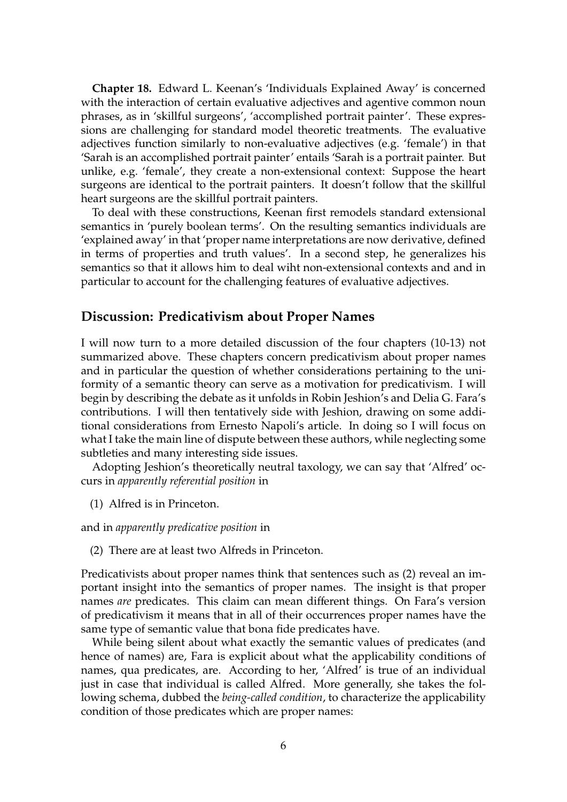**Chapter 18.** Edward L. Keenan's 'Individuals Explained Away' is concerned with the interaction of certain evaluative adjectives and agentive common noun phrases, as in 'skillful surgeons', 'accomplished portrait painter'. These expressions are challenging for standard model theoretic treatments. The evaluative adjectives function similarly to non-evaluative adjectives (e.g. 'female') in that 'Sarah is an accomplished portrait painter' entails 'Sarah is a portrait painter. But unlike, e.g. 'female', they create a non-extensional context: Suppose the heart surgeons are identical to the portrait painters. It doesn't follow that the skillful heart surgeons are the skillful portrait painters.

To deal with these constructions, Keenan first remodels standard extensional semantics in 'purely boolean terms'. On the resulting semantics individuals are 'explained away' in that 'proper name interpretations are now derivative, defined in terms of properties and truth values'. In a second step, he generalizes his semantics so that it allows him to deal wiht non-extensional contexts and and in particular to account for the challenging features of evaluative adjectives.

#### **Discussion: Predicativism about Proper Names**

I will now turn to a more detailed discussion of the four chapters (10-13) not summarized above. These chapters concern predicativism about proper names and in particular the question of whether considerations pertaining to the uniformity of a semantic theory can serve as a motivation for predicativism. I will begin by describing the debate as it unfolds in Robin Jeshion's and Delia G. Fara's contributions. I will then tentatively side with Jeshion, drawing on some additional considerations from Ernesto Napoli's article. In doing so I will focus on what I take the main line of dispute between these authors, while neglecting some subtleties and many interesting side issues.

Adopting Jeshion's theoretically neutral taxology, we can say that 'Alfred' occurs in *apparently referential position* in

(1) Alfred is in Princeton.

and in *apparently predicative position* in

(2) There are at least two Alfreds in Princeton.

Predicativists about proper names think that sentences such as (2) reveal an important insight into the semantics of proper names. The insight is that proper names *are* predicates. This claim can mean different things. On Fara's version of predicativism it means that in all of their occurrences proper names have the same type of semantic value that bona fide predicates have.

While being silent about what exactly the semantic values of predicates (and hence of names) are, Fara is explicit about what the applicability conditions of names, qua predicates, are. According to her, 'Alfred' is true of an individual just in case that individual is called Alfred. More generally, she takes the following schema, dubbed the *being-called condition*, to characterize the applicability condition of those predicates which are proper names: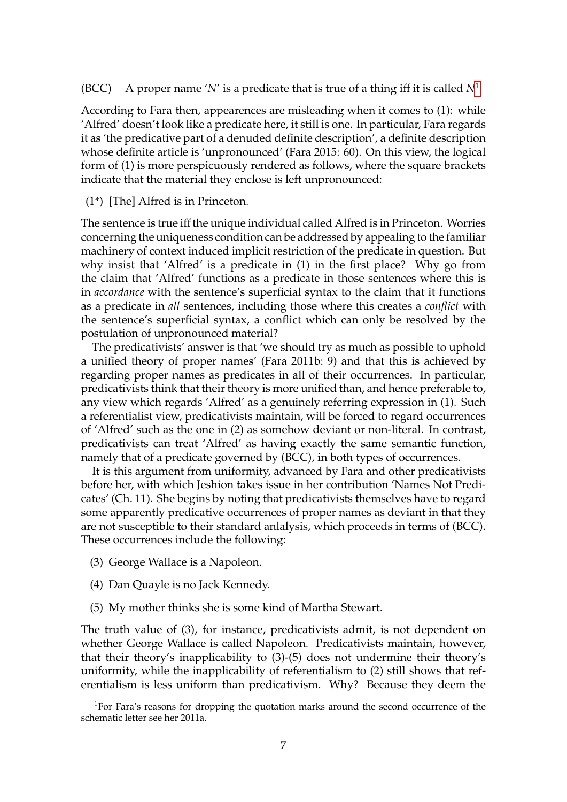(BCC) A proper name '*N'* is a predicate that is true of a thing iff it is called  $N^1$  $N^1$ 

According to Fara then, appearences are misleading when it comes to (1): while 'Alfred' doesn't look like a predicate here, it still is one. In particular, Fara regards it as 'the predicative part of a denuded definite description', a definite description whose definite article is 'unpronounced' (Fara 2015: 60). On this view, the logical form of (1) is more perspicuously rendered as follows, where the square brackets indicate that the material they enclose is left unpronounced:

(1\*) [The] Alfred is in Princeton.

The sentence is true iff the unique individual called Alfred is in Princeton. Worries concerning the uniqueness condition can be addressed by appealing to the familiar machinery of context induced implicit restriction of the predicate in question. But why insist that 'Alfred' is a predicate in (1) in the first place? Why go from the claim that 'Alfred' functions as a predicate in those sentences where this is in *accordance* with the sentence's superficial syntax to the claim that it functions as a predicate in *all* sentences, including those where this creates a *conflict* with the sentence's superficial syntax, a conflict which can only be resolved by the postulation of unpronounced material?

The predicativists' answer is that 'we should try as much as possible to uphold a unified theory of proper names' (Fara 2011b: 9) and that this is achieved by regarding proper names as predicates in all of their occurrences. In particular, predicativists think that their theory is more unified than, and hence preferable to, any view which regards 'Alfred' as a genuinely referring expression in (1). Such a referentialist view, predicativists maintain, will be forced to regard occurrences of 'Alfred' such as the one in (2) as somehow deviant or non-literal. In contrast, predicativists can treat 'Alfred' as having exactly the same semantic function, namely that of a predicate governed by (BCC), in both types of occurrences.

It is this argument from uniformity, advanced by Fara and other predicativists before her, with which Jeshion takes issue in her contribution 'Names Not Predicates' (Ch. 11). She begins by noting that predicativists themselves have to regard some apparently predicative occurrences of proper names as deviant in that they are not susceptible to their standard anlalysis, which proceeds in terms of (BCC). These occurrences include the following:

- (3) George Wallace is a Napoleon.
- (4) Dan Quayle is no Jack Kennedy.
- (5) My mother thinks she is some kind of Martha Stewart.

The truth value of (3), for instance, predicativists admit, is not dependent on whether George Wallace is called Napoleon. Predicativists maintain, however, that their theory's inapplicability to (3)-(5) does not undermine their theory's uniformity, while the inapplicability of referentialism to (2) still shows that referentialism is less uniform than predicativism. Why? Because they deem the

<sup>&</sup>lt;sup>1</sup>For Fara's reasons for dropping the quotation marks around the second occurrence of the schematic letter see her 2011a.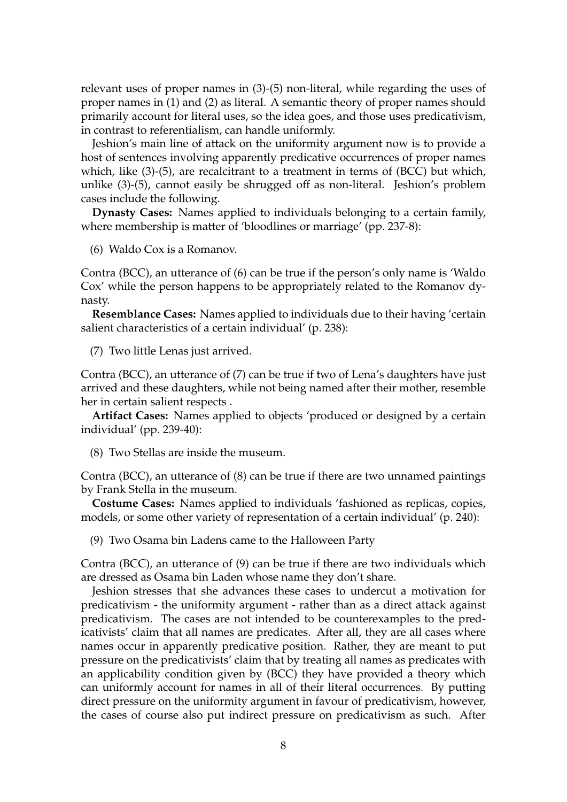relevant uses of proper names in (3)-(5) non-literal, while regarding the uses of proper names in (1) and (2) as literal. A semantic theory of proper names should primarily account for literal uses, so the idea goes, and those uses predicativism, in contrast to referentialism, can handle uniformly.

Jeshion's main line of attack on the uniformity argument now is to provide a host of sentences involving apparently predicative occurrences of proper names which, like (3)-(5), are recalcitrant to a treatment in terms of (BCC) but which, unlike (3)-(5), cannot easily be shrugged off as non-literal. Jeshion's problem cases include the following.

**Dynasty Cases:** Names applied to individuals belonging to a certain family, where membership is matter of 'bloodlines or marriage' (pp. 237-8):

(6) Waldo Cox is a Romanov.

Contra (BCC), an utterance of (6) can be true if the person's only name is 'Waldo Cox' while the person happens to be appropriately related to the Romanov dynasty.

**Resemblance Cases:** Names applied to individuals due to their having 'certain salient characteristics of a certain individual' (p. 238):

(7) Two little Lenas just arrived.

Contra (BCC), an utterance of (7) can be true if two of Lena's daughters have just arrived and these daughters, while not being named after their mother, resemble her in certain salient respects .

**Artifact Cases:** Names applied to objects 'produced or designed by a certain individual' (pp. 239-40):

(8) Two Stellas are inside the museum.

Contra (BCC), an utterance of (8) can be true if there are two unnamed paintings by Frank Stella in the museum.

**Costume Cases:** Names applied to individuals 'fashioned as replicas, copies, models, or some other variety of representation of a certain individual' (p. 240):

(9) Two Osama bin Ladens came to the Halloween Party

Contra (BCC), an utterance of (9) can be true if there are two individuals which are dressed as Osama bin Laden whose name they don't share.

Jeshion stresses that she advances these cases to undercut a motivation for predicativism - the uniformity argument - rather than as a direct attack against predicativism. The cases are not intended to be counterexamples to the predicativists' claim that all names are predicates. After all, they are all cases where names occur in apparently predicative position. Rather, they are meant to put pressure on the predicativists' claim that by treating all names as predicates with an applicability condition given by (BCC) they have provided a theory which can uniformly account for names in all of their literal occurrences. By putting direct pressure on the uniformity argument in favour of predicativism, however, the cases of course also put indirect pressure on predicativism as such. After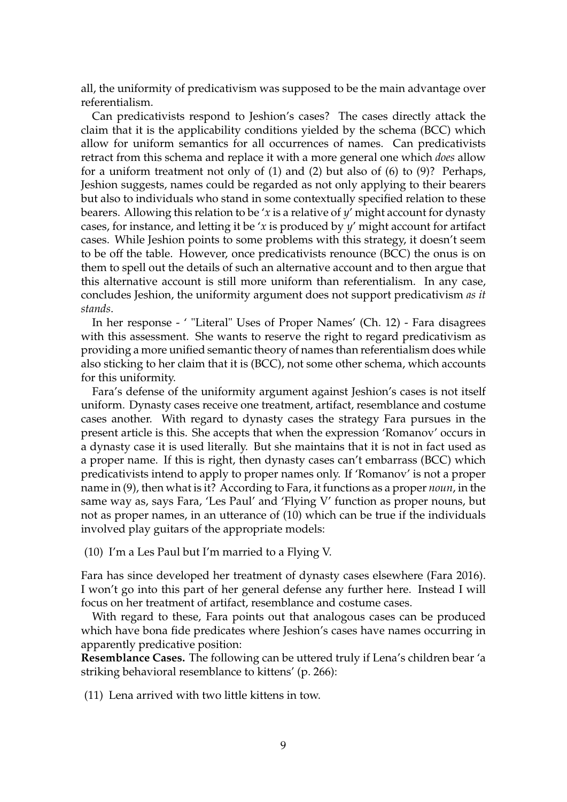all, the uniformity of predicativism was supposed to be the main advantage over referentialism.

Can predicativists respond to Jeshion's cases? The cases directly attack the claim that it is the applicability conditions yielded by the schema (BCC) which allow for uniform semantics for all occurrences of names. Can predicativists retract from this schema and replace it with a more general one which *does* allow for a uniform treatment not only of (1) and (2) but also of (6) to (9)? Perhaps, Jeshion suggests, names could be regarded as not only applying to their bearers but also to individuals who stand in some contextually specified relation to these bearers. Allowing this relation to be '*x* is a relative of *y*' might account for dynasty cases, for instance, and letting it be '*x* is produced by *y*' might account for artifact cases. While Jeshion points to some problems with this strategy, it doesn't seem to be off the table. However, once predicativists renounce (BCC) the onus is on them to spell out the details of such an alternative account and to then argue that this alternative account is still more uniform than referentialism. In any case, concludes Jeshion, the uniformity argument does not support predicativism *as it stands*.

In her response - ' "Literal" Uses of Proper Names' (Ch. 12) - Fara disagrees with this assessment. She wants to reserve the right to regard predicativism as providing a more unified semantic theory of names than referentialism does while also sticking to her claim that it is (BCC), not some other schema, which accounts for this uniformity.

Fara's defense of the uniformity argument against Jeshion's cases is not itself uniform. Dynasty cases receive one treatment, artifact, resemblance and costume cases another. With regard to dynasty cases the strategy Fara pursues in the present article is this. She accepts that when the expression 'Romanov' occurs in a dynasty case it is used literally. But she maintains that it is not in fact used as a proper name. If this is right, then dynasty cases can't embarrass (BCC) which predicativists intend to apply to proper names only. If 'Romanov' is not a proper name in (9), then what is it? According to Fara, it functions as a proper *noun*, in the same way as, says Fara, 'Les Paul' and 'Flying V' function as proper nouns, but not as proper names, in an utterance of (10) which can be true if the individuals involved play guitars of the appropriate models:

(10) I'm a Les Paul but I'm married to a Flying V.

Fara has since developed her treatment of dynasty cases elsewhere (Fara 2016). I won't go into this part of her general defense any further here. Instead I will focus on her treatment of artifact, resemblance and costume cases.

With regard to these, Fara points out that analogous cases can be produced which have bona fide predicates where Jeshion's cases have names occurring in apparently predicative position:

**Resemblance Cases.** The following can be uttered truly if Lena's children bear 'a striking behavioral resemblance to kittens' (p. 266):

(11) Lena arrived with two little kittens in tow.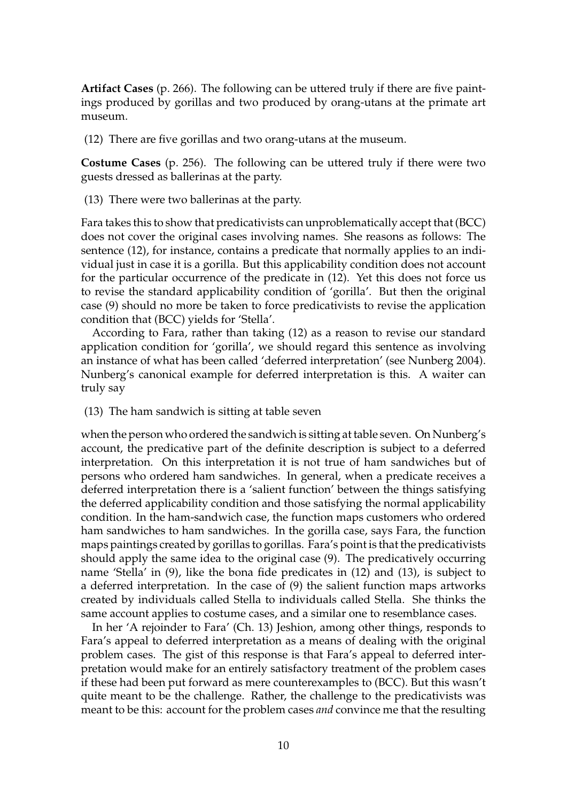**Artifact Cases** (p. 266). The following can be uttered truly if there are five paintings produced by gorillas and two produced by orang-utans at the primate art museum.

(12) There are five gorillas and two orang-utans at the museum.

**Costume Cases** (p. 256). The following can be uttered truly if there were two guests dressed as ballerinas at the party.

(13) There were two ballerinas at the party.

Fara takes this to show that predicativists can unproblematically accept that (BCC) does not cover the original cases involving names. She reasons as follows: The sentence (12), for instance, contains a predicate that normally applies to an individual just in case it is a gorilla. But this applicability condition does not account for the particular occurrence of the predicate in (12). Yet this does not force us to revise the standard applicability condition of 'gorilla'. But then the original case (9) should no more be taken to force predicativists to revise the application condition that (BCC) yields for 'Stella'.

According to Fara, rather than taking (12) as a reason to revise our standard application condition for 'gorilla', we should regard this sentence as involving an instance of what has been called 'deferred interpretation' (see Nunberg 2004). Nunberg's canonical example for deferred interpretation is this. A waiter can truly say

(13) The ham sandwich is sitting at table seven

when the person who ordered the sandwich is sitting at table seven. On Nunberg's account, the predicative part of the definite description is subject to a deferred interpretation. On this interpretation it is not true of ham sandwiches but of persons who ordered ham sandwiches. In general, when a predicate receives a deferred interpretation there is a 'salient function' between the things satisfying the deferred applicability condition and those satisfying the normal applicability condition. In the ham-sandwich case, the function maps customers who ordered ham sandwiches to ham sandwiches. In the gorilla case, says Fara, the function maps paintings created by gorillas to gorillas. Fara's point is that the predicativists should apply the same idea to the original case (9). The predicatively occurring name 'Stella' in (9), like the bona fide predicates in (12) and (13), is subject to a deferred interpretation. In the case of (9) the salient function maps artworks created by individuals called Stella to individuals called Stella. She thinks the same account applies to costume cases, and a similar one to resemblance cases.

In her 'A rejoinder to Fara' (Ch. 13) Jeshion, among other things, responds to Fara's appeal to deferred interpretation as a means of dealing with the original problem cases. The gist of this response is that Fara's appeal to deferred interpretation would make for an entirely satisfactory treatment of the problem cases if these had been put forward as mere counterexamples to (BCC). But this wasn't quite meant to be the challenge. Rather, the challenge to the predicativists was meant to be this: account for the problem cases *and* convince me that the resulting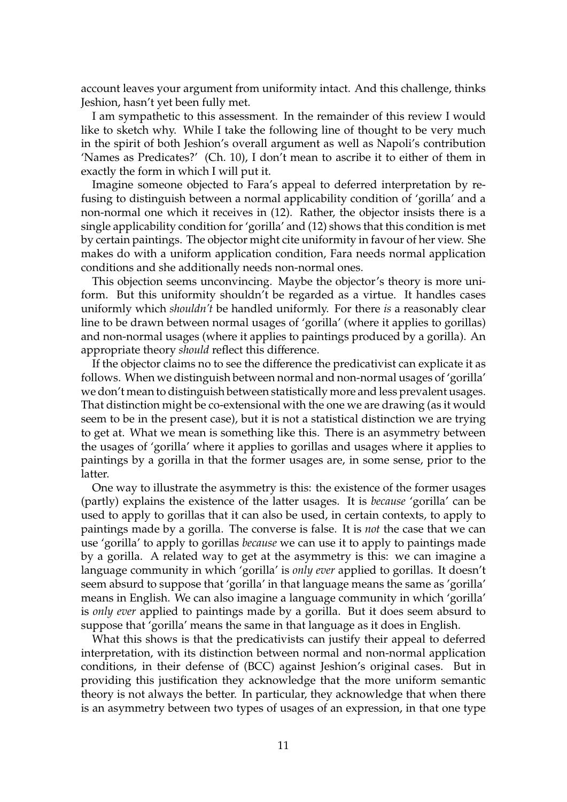account leaves your argument from uniformity intact. And this challenge, thinks Jeshion, hasn't yet been fully met.

I am sympathetic to this assessment. In the remainder of this review I would like to sketch why. While I take the following line of thought to be very much in the spirit of both Jeshion's overall argument as well as Napoli's contribution 'Names as Predicates?' (Ch. 10), I don't mean to ascribe it to either of them in exactly the form in which I will put it.

Imagine someone objected to Fara's appeal to deferred interpretation by refusing to distinguish between a normal applicability condition of 'gorilla' and a non-normal one which it receives in (12). Rather, the objector insists there is a single applicability condition for 'gorilla' and (12) shows that this condition is met by certain paintings. The objector might cite uniformity in favour of her view. She makes do with a uniform application condition, Fara needs normal application conditions and she additionally needs non-normal ones.

This objection seems unconvincing. Maybe the objector's theory is more uniform. But this uniformity shouldn't be regarded as a virtue. It handles cases uniformly which *shouldn't* be handled uniformly. For there *is* a reasonably clear line to be drawn between normal usages of 'gorilla' (where it applies to gorillas) and non-normal usages (where it applies to paintings produced by a gorilla). An appropriate theory *should* reflect this difference.

If the objector claims no to see the difference the predicativist can explicate it as follows. When we distinguish between normal and non-normal usages of 'gorilla' we don't mean to distinguish between statistically more and less prevalent usages. That distinction might be co-extensional with the one we are drawing (as it would seem to be in the present case), but it is not a statistical distinction we are trying to get at. What we mean is something like this. There is an asymmetry between the usages of 'gorilla' where it applies to gorillas and usages where it applies to paintings by a gorilla in that the former usages are, in some sense, prior to the latter.

One way to illustrate the asymmetry is this: the existence of the former usages (partly) explains the existence of the latter usages. It is *because* 'gorilla' can be used to apply to gorillas that it can also be used, in certain contexts, to apply to paintings made by a gorilla. The converse is false. It is *not* the case that we can use 'gorilla' to apply to gorillas *because* we can use it to apply to paintings made by a gorilla. A related way to get at the asymmetry is this: we can imagine a language community in which 'gorilla' is *only ever* applied to gorillas. It doesn't seem absurd to suppose that 'gorilla' in that language means the same as 'gorilla' means in English. We can also imagine a language community in which 'gorilla' is *only ever* applied to paintings made by a gorilla. But it does seem absurd to suppose that 'gorilla' means the same in that language as it does in English.

What this shows is that the predicativists can justify their appeal to deferred interpretation, with its distinction between normal and non-normal application conditions, in their defense of (BCC) against Jeshion's original cases. But in providing this justification they acknowledge that the more uniform semantic theory is not always the better. In particular, they acknowledge that when there is an asymmetry between two types of usages of an expression, in that one type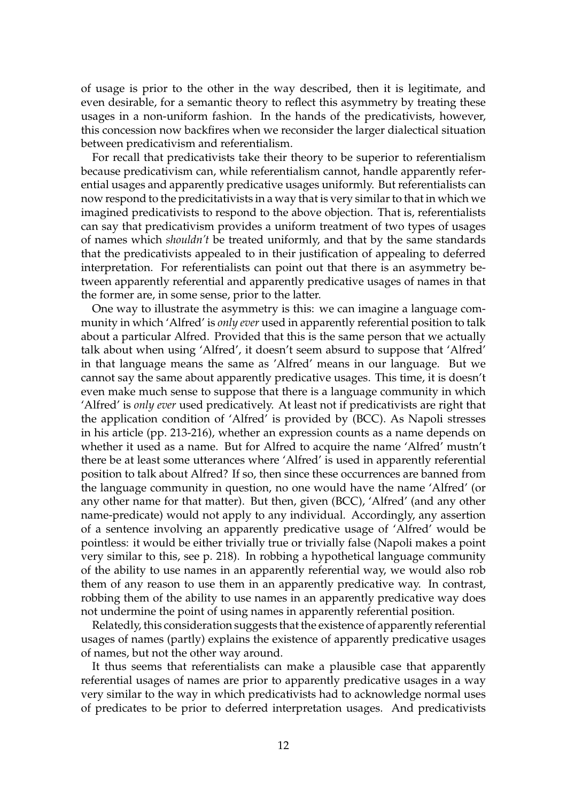of usage is prior to the other in the way described, then it is legitimate, and even desirable, for a semantic theory to reflect this asymmetry by treating these usages in a non-uniform fashion. In the hands of the predicativists, however, this concession now backfires when we reconsider the larger dialectical situation between predicativism and referentialism.

For recall that predicativists take their theory to be superior to referentialism because predicativism can, while referentialism cannot, handle apparently referential usages and apparently predicative usages uniformly. But referentialists can now respond to the predicitativists in a way that is very similar to that in which we imagined predicativists to respond to the above objection. That is, referentialists can say that predicativism provides a uniform treatment of two types of usages of names which *shouldn't* be treated uniformly, and that by the same standards that the predicativists appealed to in their justification of appealing to deferred interpretation. For referentialists can point out that there is an asymmetry between apparently referential and apparently predicative usages of names in that the former are, in some sense, prior to the latter.

One way to illustrate the asymmetry is this: we can imagine a language community in which 'Alfred' is *only ever* used in apparently referential position to talk about a particular Alfred. Provided that this is the same person that we actually talk about when using 'Alfred', it doesn't seem absurd to suppose that 'Alfred' in that language means the same as 'Alfred' means in our language. But we cannot say the same about apparently predicative usages. This time, it is doesn't even make much sense to suppose that there is a language community in which 'Alfred' is *only ever* used predicatively. At least not if predicativists are right that the application condition of 'Alfred' is provided by (BCC). As Napoli stresses in his article (pp. 213-216), whether an expression counts as a name depends on whether it used as a name. But for Alfred to acquire the name 'Alfred' mustn't there be at least some utterances where 'Alfred' is used in apparently referential position to talk about Alfred? If so, then since these occurrences are banned from the language community in question, no one would have the name 'Alfred' (or any other name for that matter). But then, given (BCC), 'Alfred' (and any other name-predicate) would not apply to any individual. Accordingly, any assertion of a sentence involving an apparently predicative usage of 'Alfred' would be pointless: it would be either trivially true or trivially false (Napoli makes a point very similar to this, see p. 218). In robbing a hypothetical language community of the ability to use names in an apparently referential way, we would also rob them of any reason to use them in an apparently predicative way. In contrast, robbing them of the ability to use names in an apparently predicative way does not undermine the point of using names in apparently referential position.

Relatedly, this consideration suggests that the existence of apparently referential usages of names (partly) explains the existence of apparently predicative usages of names, but not the other way around.

It thus seems that referentialists can make a plausible case that apparently referential usages of names are prior to apparently predicative usages in a way very similar to the way in which predicativists had to acknowledge normal uses of predicates to be prior to deferred interpretation usages. And predicativists